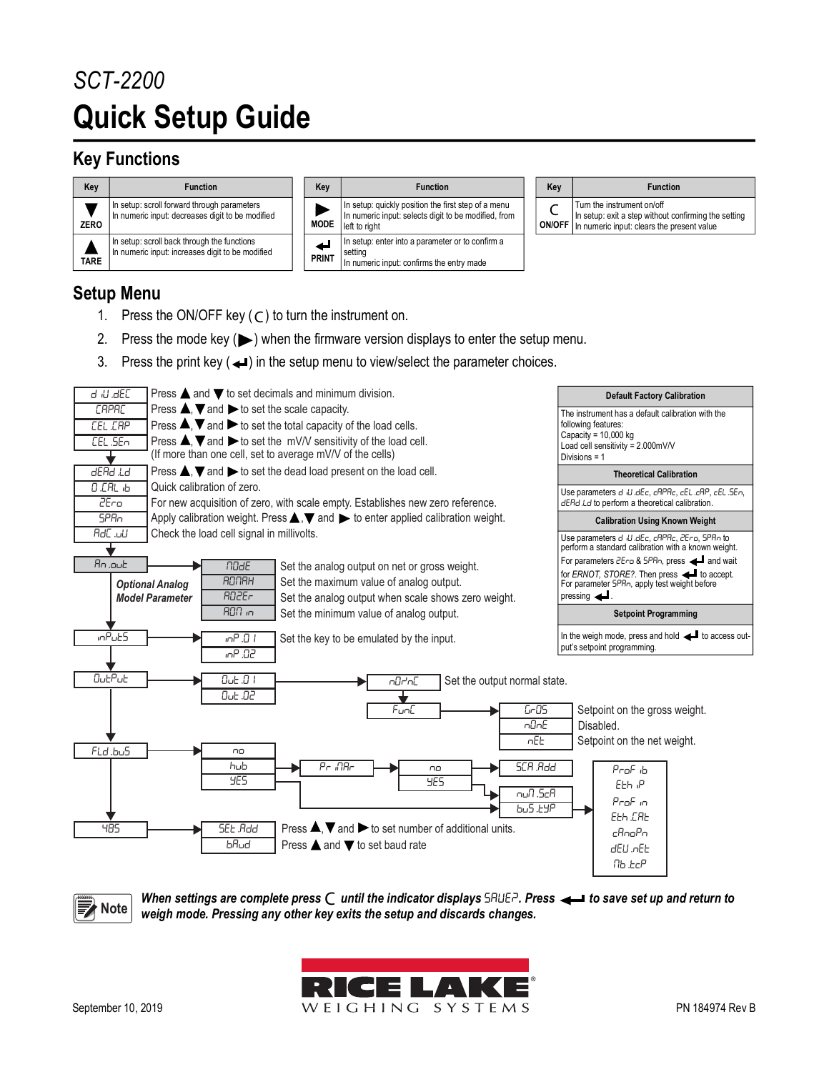## *SCT-2200* **Quick Setup Guide**

## **Key Functions**



## **Setup Menu**

- 1. Press the ON/OFF key  $(C)$  to turn the instrument on.
- 2. Press the mode key  $(\blacktriangleright)$  when the firmware version displays to enter the setup menu.
- 3. Press the print key  $($   $\triangleleft$ ) in the setup menu to view/select the parameter choices.



<span id="page-0-0"></span>*When settings are complete press C* until the indicator displays SAUEP. Press  $\leftarrow$  to save set up and return to **Note** Complete press of *weigh mode. Pressing any other key exits the setun and discards changes weigh mode. Pressing any other key exits the setup and discards changes.*